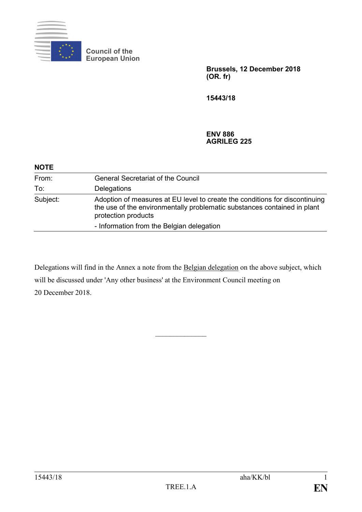

**Council of the European Union**

> **Brussels, 12 December 2018 (OR. fr)**

**15443/18**

**ENV 886 AGRILEG 225**

| <b>NOTE</b> |                                                                                                                                                                                |
|-------------|--------------------------------------------------------------------------------------------------------------------------------------------------------------------------------|
| From:       | <b>General Secretariat of the Council</b>                                                                                                                                      |
| To:         | Delegations                                                                                                                                                                    |
| Subject:    | Adoption of measures at EU level to create the conditions for discontinuing<br>the use of the environmentally problematic substances contained in plant<br>protection products |
|             | - Information from the Belgian delegation                                                                                                                                      |

Delegations will find in the Annex a note from the Belgian delegation on the above subject, which will be discussed under 'Any other business' at the Environment Council meeting on 20 December 2018.

 $\frac{1}{2}$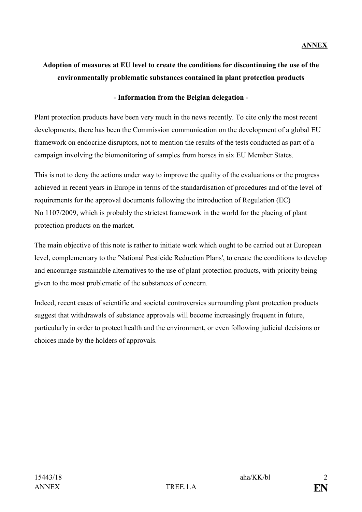## **Adoption of measures at EU level to create the conditions for discontinuing the use of the environmentally problematic substances contained in plant protection products**

## **- Information from the Belgian delegation -**

Plant protection products have been very much in the news recently. To cite only the most recent developments, there has been the Commission communication on the development of a global EU framework on endocrine disruptors, not to mention the results of the tests conducted as part of a campaign involving the biomonitoring of samples from horses in six EU Member States.

This is not to deny the actions under way to improve the quality of the evaluations or the progress achieved in recent years in Europe in terms of the standardisation of procedures and of the level of requirements for the approval documents following the introduction of Regulation (EC) No 1107/2009, which is probably the strictest framework in the world for the placing of plant protection products on the market.

The main objective of this note is rather to initiate work which ought to be carried out at European level, complementary to the 'National Pesticide Reduction Plans', to create the conditions to develop and encourage sustainable alternatives to the use of plant protection products, with priority being given to the most problematic of the substances of concern.

Indeed, recent cases of scientific and societal controversies surrounding plant protection products suggest that withdrawals of substance approvals will become increasingly frequent in future, particularly in order to protect health and the environment, or even following judicial decisions or choices made by the holders of approvals.